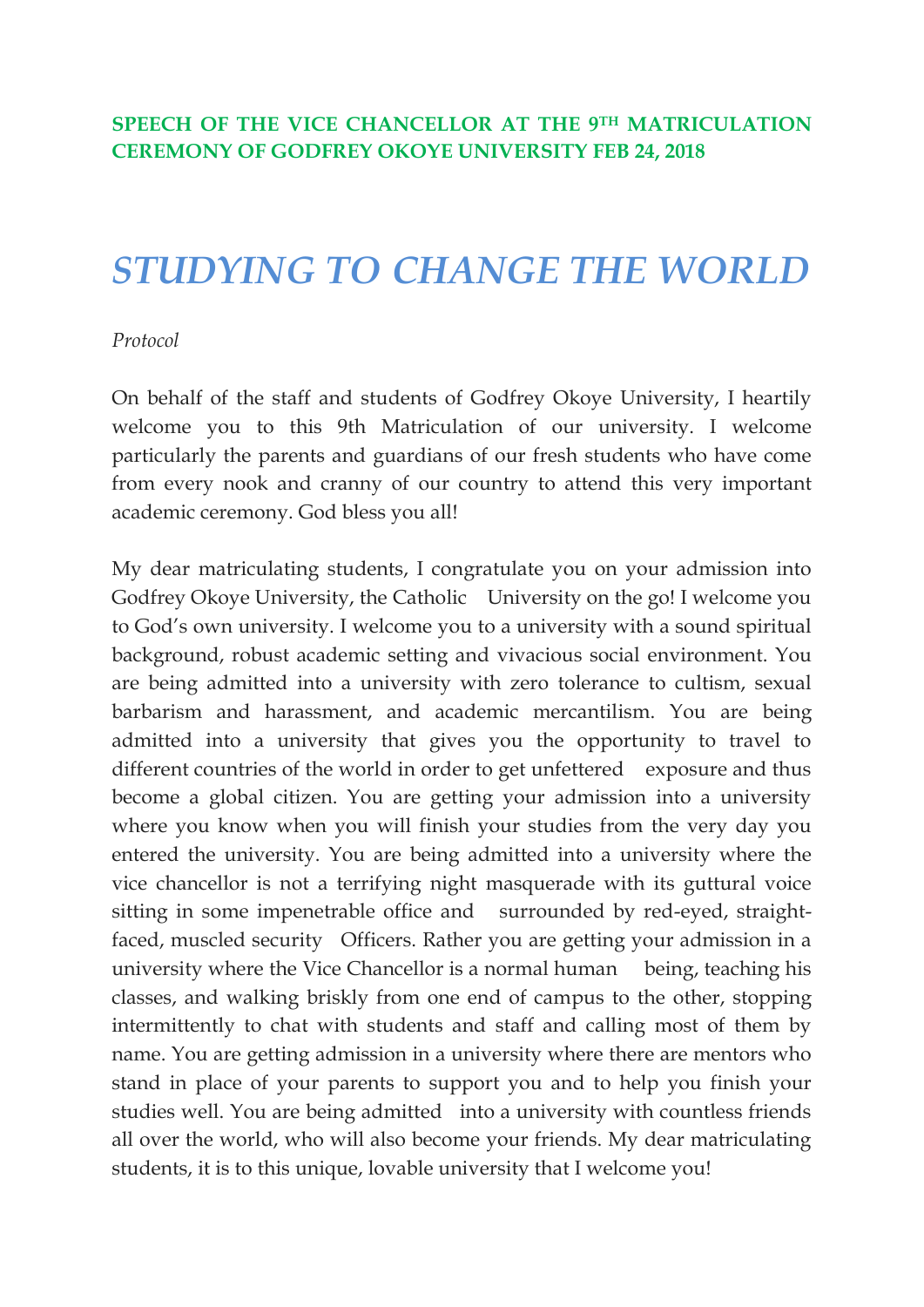## **SPEECH OF THE VICE CHANCELLOR AT THE 9TH MATRICULATION CEREMONY OF GODFREY OKOYE UNIVERSITY FEB 24, 2018**

## *STUDYING TO CHANGE THE WORLD*

## *Protocol*

On behalf of the staff and students of Godfrey Okoye University, I heartily welcome you to this 9th Matriculation of our university. I welcome particularly the parents and guardians of our fresh students who have come from every nook and cranny of our country to attend this very important academic ceremony. God bless you all!

My dear matriculating students, I congratulate you on your admission into Godfrey Okoye University, the Catholic University on the go! I welcome you to God's own university. I welcome you to a university with a sound spiritual background, robust academic setting and vivacious social environment. You are being admitted into a university with zero tolerance to cultism, sexual barbarism and harassment, and academic mercantilism. You are being admitted into a university that gives you the opportunity to travel to different countries of the world in order to get unfettered exposure and thus become a global citizen. You are getting your admission into a university where you know when you will finish your studies from the very day you entered the university. You are being admitted into a university where the vice chancellor is not a terrifying night masquerade with its guttural voice sitting in some impenetrable office and surrounded by red-eyed, straightfaced, muscled security Officers. Rather you are getting your admission in a university where the Vice Chancellor is a normal human being, teaching his classes, and walking briskly from one end of campus to the other, stopping intermittently to chat with students and staff and calling most of them by name. You are getting admission in a university where there are mentors who stand in place of your parents to support you and to help you finish your studies well. You are being admitted into a university with countless friends all over the world, who will also become your friends. My dear matriculating students, it is to this unique, lovable university that I welcome you!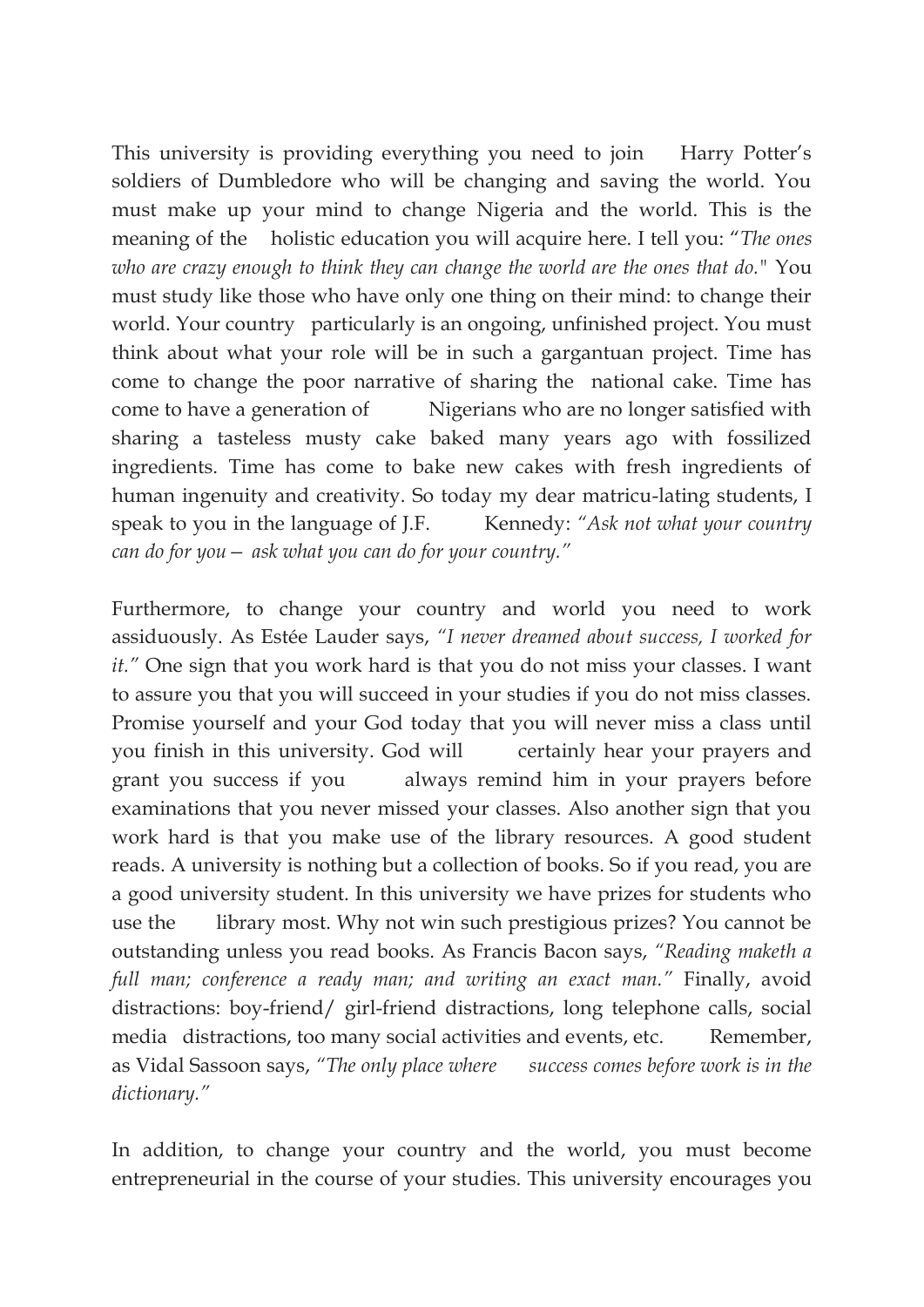This university is providing everything you need to join Harry Potter's soldiers of Dumbledore who will be changing and saving the world. You must make up your mind to change Nigeria and the world. This is the meaning of the holistic education you will acquire here. I tell you: "*The ones who are crazy enough to think they can change the world are the ones that do."* You must study like those who have only one thing on their mind: to change their world. Your country particularly is an ongoing, unfinished project. You must think about what your role will be in such a gargantuan project. Time has come to change the poor narrative of sharing the national cake. Time has come to have a generation of Nigerians who are no longer satisfied with sharing a tasteless musty cake baked many years ago with fossilized ingredients. Time has come to bake new cakes with fresh ingredients of human ingenuity and creativity. So today my dear matricu-lating students, I speak to you in the language of J.F. Kennedy: "Ask not what your country *can do for you— ask what you can do for your country."*

Furthermore, to change your country and world you need to work assiduously. As Estée Lauder says, *"I never dreamed about success, I worked for it."* One sign that you work hard is that you do not miss your classes. I want to assure you that you will succeed in your studies if you do not miss classes. Promise yourself and your God today that you will never miss a class until you finish in this university. God will certainly hear your prayers and grant you success if you always remind him in your prayers before examinations that you never missed your classes. Also another sign that you work hard is that you make use of the library resources. A good student reads. A university is nothing but a collection of books. So if you read, you are a good university student. In this university we have prizes for students who use the library most. Why not win such prestigious prizes? You cannot be outstanding unless you read books. As Francis Bacon says, *"Reading maketh a full man; conference a ready man; and writing an exact man."* Finally, avoid distractions: boy-friend/ girl-friend distractions, long telephone calls, social media distractions, too many social activities and events, etc. Remember, as Vidal Sassoon says, *"The only place where success comes before work is in the dictionary."*

In addition, to change your country and the world, you must become entrepreneurial in the course of your studies. This university encourages you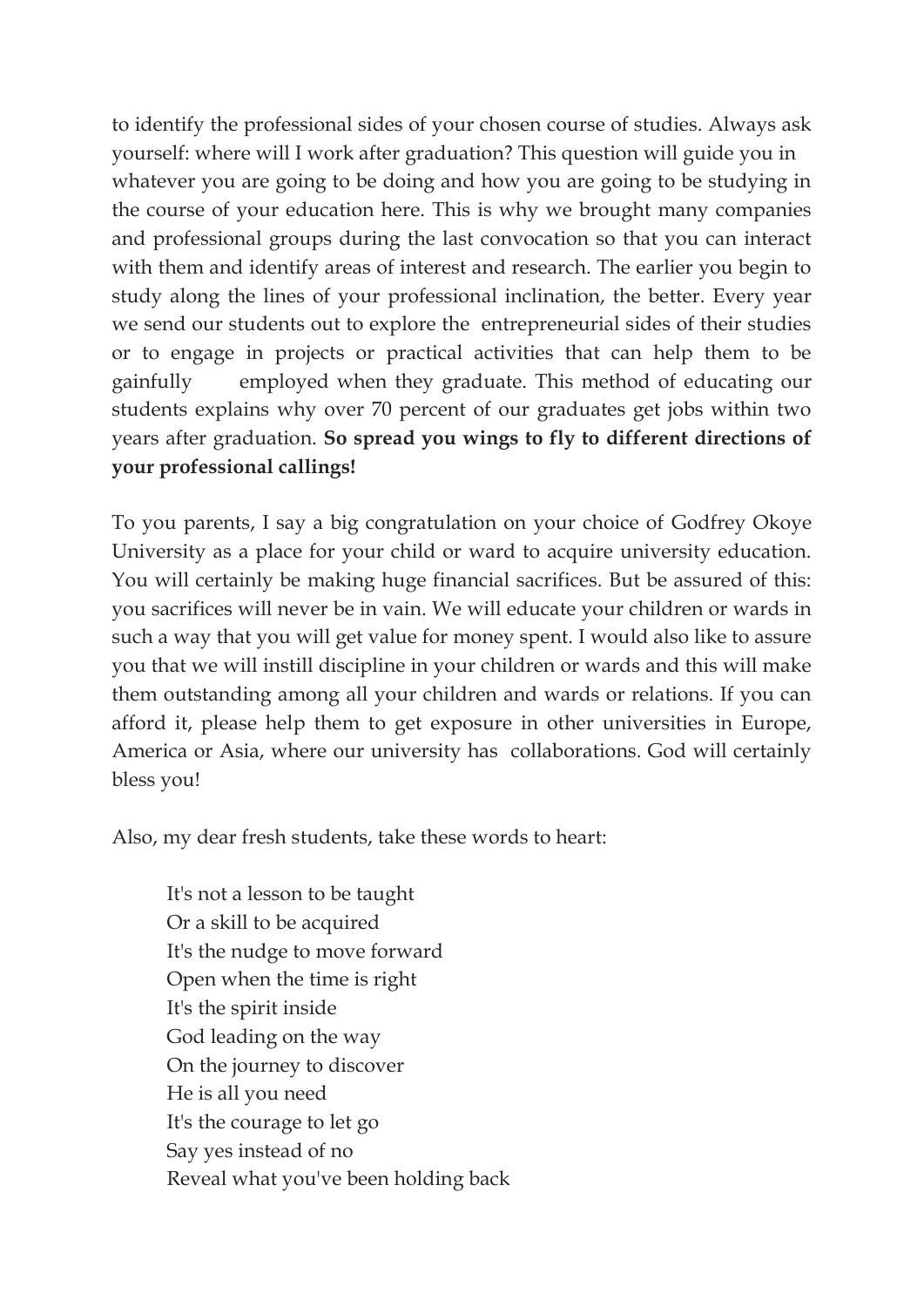to identify the professional sides of your chosen course of studies. Always ask yourself: where will I work after graduation? This question will guide you in whatever you are going to be doing and how you are going to be studying in the course of your education here. This is why we brought many companies and professional groups during the last convocation so that you can interact with them and identify areas of interest and research. The earlier you begin to study along the lines of your professional inclination, the better. Every year we send our students out to explore the entrepreneurial sides of their studies or to engage in projects or practical activities that can help them to be gainfully employed when they graduate. This method of educating our students explains why over 70 percent of our graduates get jobs within two years after graduation. **So spread you wings to fly to different directions of your professional callings!**

To you parents, I say a big congratulation on your choice of Godfrey Okoye University as a place for your child or ward to acquire university education. You will certainly be making huge financial sacrifices. But be assured of this: you sacrifices will never be in vain. We will educate your children or wards in such a way that you will get value for money spent. I would also like to assure you that we will instill discipline in your children or wards and this will make them outstanding among all your children and wards or relations. If you can afford it, please help them to get exposure in other universities in Europe, America or Asia, where our university has collaborations. God will certainly bless you!

Also, my dear fresh students, take these words to heart:

It's not a lesson to be taught Or a skill to be acquired It's the nudge to move forward Open when the time is right It's the spirit inside God leading on the way On the journey to discover He is all you need It's the courage to let go Say yes instead of no Reveal what you've been holding back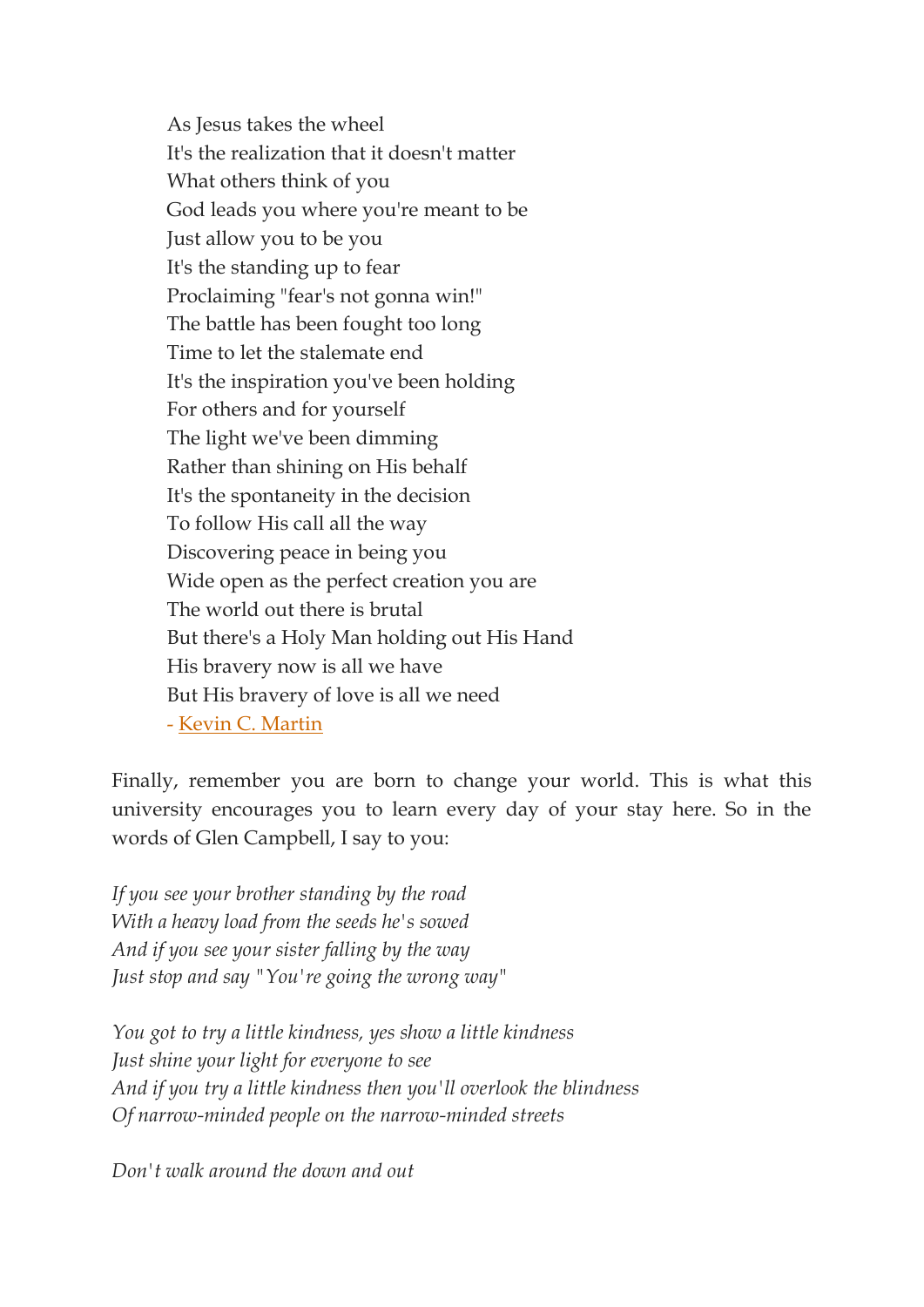As Jesus takes the wheel It's the realization that it doesn't matter What others think of you God leads you where you're meant to be Just allow you to be you It's the standing up to fear Proclaiming "fear's not gonna win!" The battle has been fought too long Time to let the stalemate end It's the inspiration you've been holding For others and for yourself The light we've been dimming Rather than shining on His behalf It's the spontaneity in the decision To follow His call all the way Discovering peace in being you Wide open as the perfect creation you are The world out there is brutal But there's a Holy Man holding out His Hand His bravery now is all we have But His bravery of love is all we need - Kevin C. Martin

Finally, remember you are born to change your world. This is what this university encourages you to learn every day of your stay here. So in the words of Glen Campbell, I say to you:

*If you see your brother standing by the road With a heavy load from the seeds he's sowed And if you see your sister falling by the way Just stop and say "You're going the wrong way"*

*You got to try a little kindness, yes show a little kindness Just shine your light for everyone to see And if you try a little kindness then you'll overlook the blindness Of narrow-minded people on the narrow-minded streets*

*Don't walk around the down and out*